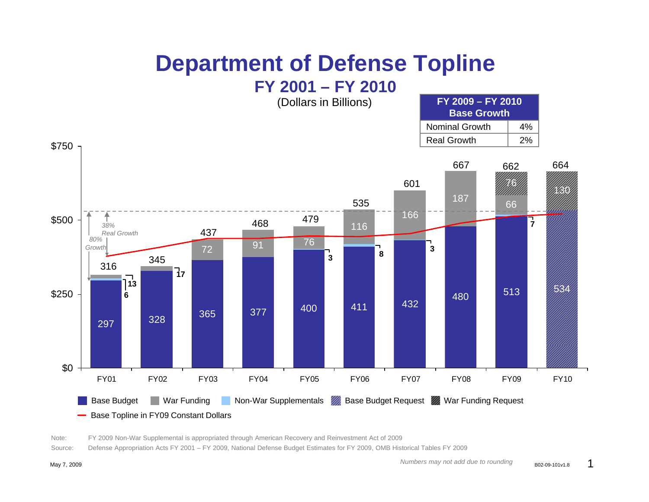## **Department of Defense Topline**



Note: FY 2009 Non-War Supplemental is appropriated through American Recovery and Reinvestment Act of 2009

Source: Defense Appropriation Acts FY 2001 – FY 2009, National Defense Budget Estimates for FY 2009, OMB Historical Tables FY 2009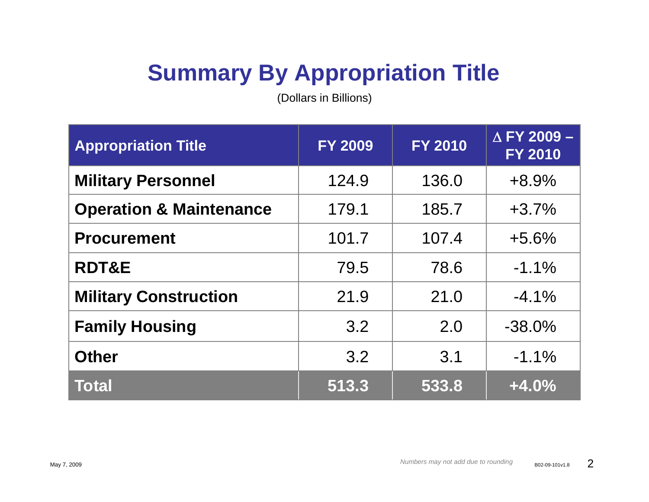## **Summary By Appropriation Title**

(Dollars in Billions)

| <b>Appropriation Title</b>         | <b>FY 2009</b> | <b>FY 2010</b> | $\triangle$ FY 2009 -<br><b>FY 2010</b> |
|------------------------------------|----------------|----------------|-----------------------------------------|
| <b>Military Personnel</b>          | 124.9          | 136.0          | $+8.9%$                                 |
| <b>Operation &amp; Maintenance</b> | 179.1          | 185.7          | $+3.7%$                                 |
| <b>Procurement</b>                 | 101.7          | 107.4          | $+5.6%$                                 |
| <b>RDT&amp;E</b>                   | 79.5           | 78.6           | $-1.1\%$                                |
| <b>Military Construction</b>       | 21.9           | 21.0           | $-4.1\%$                                |
| <b>Family Housing</b>              | 3.2            | 2.0            | $-38.0\%$                               |
| <b>Other</b>                       | 3.2            | 3.1            | $-1.1\%$                                |
| <b>Total</b>                       | 513.3          | 533.8          | $+4.0%$                                 |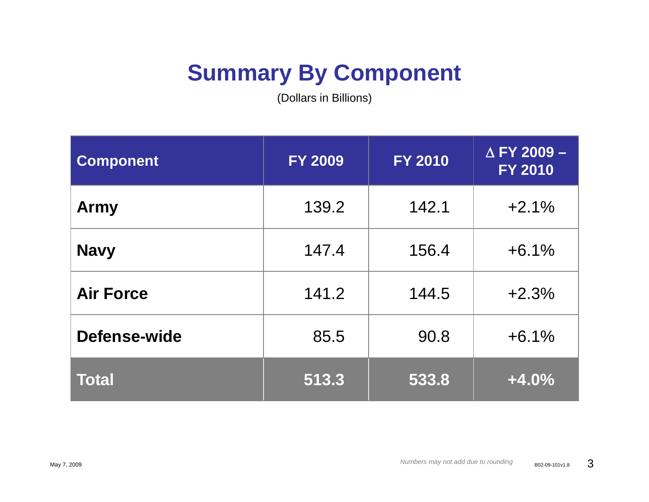## **Summary By Component**

(Dollars in Billions)

| Component        | <b>FY 2009</b> | <b>FY 2010</b> | $\triangle$ FY 2009 -<br><b>FY 2010</b> |
|------------------|----------------|----------------|-----------------------------------------|
| <b>Army</b>      | 139.2          | 142.1          | $+2.1%$                                 |
| <b>Navy</b>      | 147.4          | 156.4          | $+6.1%$                                 |
| <b>Air Force</b> | 141.2          | 144.5          | $+2.3%$                                 |
| Defense-wide     | 85.5           | 90.8           | $+6.1%$                                 |
| <b>Total</b>     | 513.3          | 533.8          | $+4.0%$                                 |